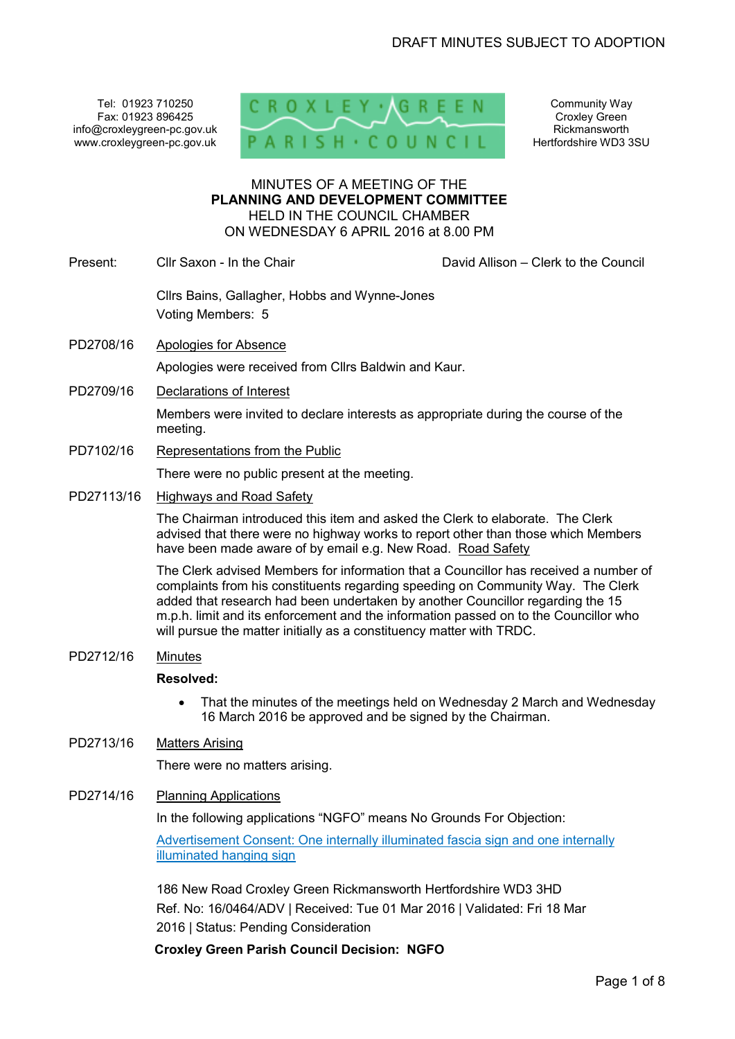Tel: 01923 710250 Fax: 01923 896425 info@croxleygreen-pc.gov.uk www.croxleygreen-pc.gov.uk



Community Way Croxley Green Rickmansworth Hertfordshire WD3 3SU

#### MINUTES OF A MEETING OF THE **PLANNING AND DEVELOPMENT COMMITTEE** HELD IN THE COUNCIL CHAMBER ON WEDNESDAY 6 APRIL 2016 at 8.00 PM

Present: Cllr Saxon - In the Chair Chair Chair David Allison – Clerk to the Council

Cllrs Bains, Gallagher, Hobbs and Wynne-Jones Voting Members: 5

- PD2708/16 Apologies for Absence Apologies were received from Cllrs Baldwin and Kaur.
- PD2709/16 Declarations of Interest

Members were invited to declare interests as appropriate during the course of the meeting.

PD7102/16 Representations from the Public

There were no public present at the meeting.

PD27113/16 Highways and Road Safety

The Chairman introduced this item and asked the Clerk to elaborate. The Clerk advised that there were no highway works to report other than those which Members have been made aware of by email e.g. New Road. Road Safety

The Clerk advised Members for information that a Councillor has received a number of complaints from his constituents regarding speeding on Community Way. The Clerk added that research had been undertaken by another Councillor regarding the 15 m.p.h. limit and its enforcement and the information passed on to the Councillor who will pursue the matter initially as a constituency matter with TRDC.

PD2712/16 Minutes

#### **Resolved:**

• That the minutes of the meetings held on Wednesday 2 March and Wednesday 16 March 2016 be approved and be signed by the Chairman.

## PD2713/16 Matters Arising

There were no matters arising.

PD2714/16 Planning Applications

In the following applications "NGFO" means No Grounds For Objection:

Advertisement Consent: One internally illuminated fascia sign and one internally illuminated hanging sign

186 New Road Croxley Green Rickmansworth Hertfordshire WD3 3HD Ref. No: 16/0464/ADV | Received: Tue 01 Mar 2016 | Validated: Fri 18 Mar 2016 | Status: Pending Consideration

**Croxley Green Parish Council Decision: NGFO**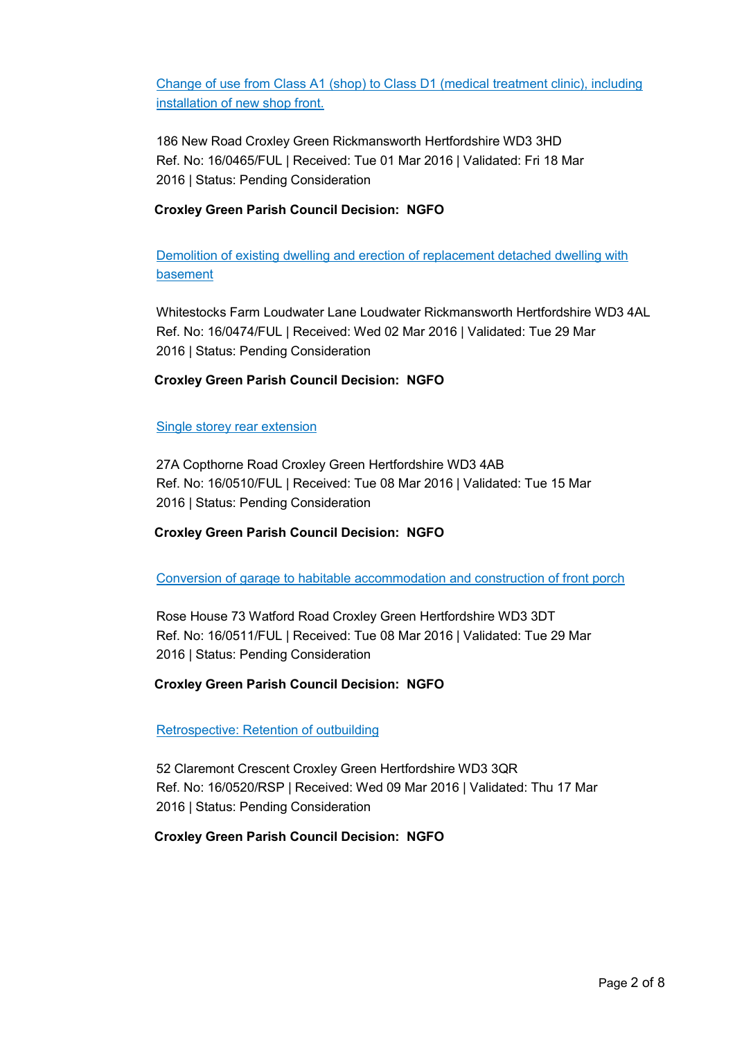Change of use from Class A1 (shop) to Class D1 (medical treatment clinic), including installation of new shop front.

186 New Road Croxley Green Rickmansworth Hertfordshire WD3 3HD Ref. No: 16/0465/FUL | Received: Tue 01 Mar 2016 | Validated: Fri 18 Mar 2016 | Status: Pending Consideration

## **Croxley Green Parish Council Decision: NGFO**

Demolition of existing dwelling and erection of replacement detached dwelling with basement

Whitestocks Farm Loudwater Lane Loudwater Rickmansworth Hertfordshire WD3 4AL Ref. No: 16/0474/FUL | Received: Wed 02 Mar 2016 | Validated: Tue 29 Mar 2016 | Status: Pending Consideration

## **Croxley Green Parish Council Decision: NGFO**

### Single storey rear extension

27A Copthorne Road Croxley Green Hertfordshire WD3 4AB Ref. No: 16/0510/FUL | Received: Tue 08 Mar 2016 | Validated: Tue 15 Mar 2016 | Status: Pending Consideration

## **Croxley Green Parish Council Decision: NGFO**

Conversion of garage to habitable accommodation and construction of front porch

Rose House 73 Watford Road Croxley Green Hertfordshire WD3 3DT Ref. No: 16/0511/FUL | Received: Tue 08 Mar 2016 | Validated: Tue 29 Mar 2016 | Status: Pending Consideration

## **Croxley Green Parish Council Decision: NGFO**

## Retrospective: Retention of outbuilding

52 Claremont Crescent Croxley Green Hertfordshire WD3 3QR Ref. No: 16/0520/RSP | Received: Wed 09 Mar 2016 | Validated: Thu 17 Mar 2016 | Status: Pending Consideration

## **Croxley Green Parish Council Decision: NGFO**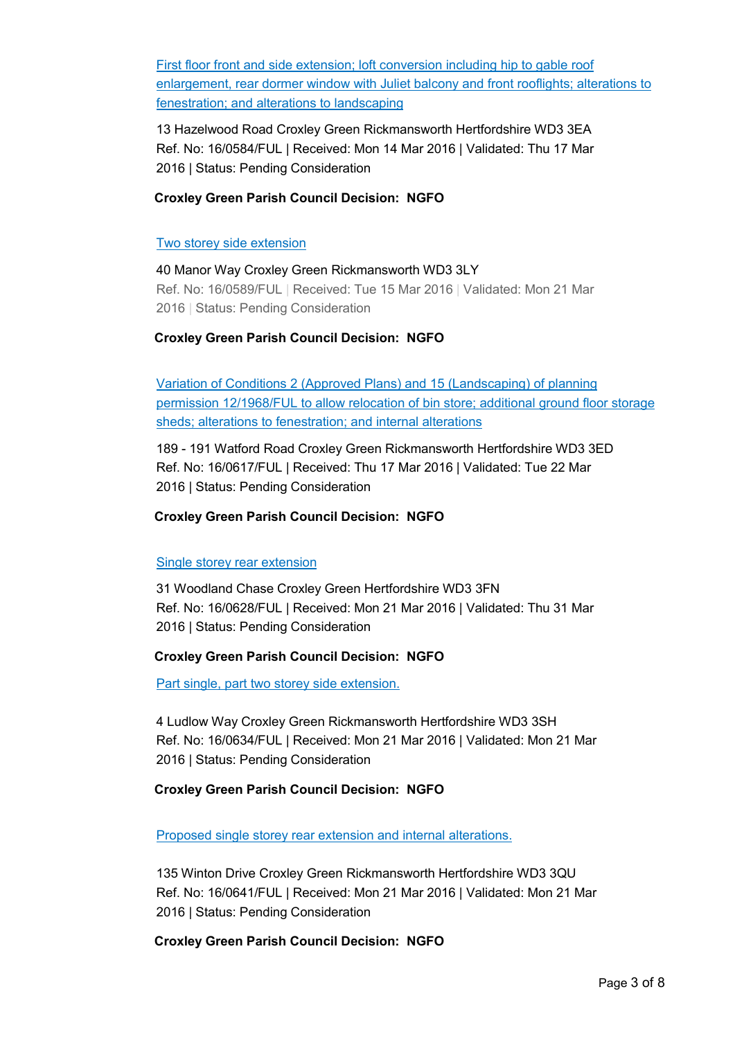First floor front and side extension; loft conversion including hip to gable roof enlargement, rear dormer window with Juliet balcony and front rooflights; alterations to fenestration; and alterations to landscaping

13 Hazelwood Road Croxley Green Rickmansworth Hertfordshire WD3 3EA Ref. No: 16/0584/FUL | Received: Mon 14 Mar 2016 | Validated: Thu 17 Mar 2016 | Status: Pending Consideration

## **Croxley Green Parish Council Decision: NGFO**

### Two storey side extension

40 Manor Way Croxley Green Rickmansworth WD3 3LY Ref. No: 16/0589/FUL | Received: Tue 15 Mar 2016 | Validated: Mon 21 Mar 2016 | Status: Pending Consideration

## **Croxley Green Parish Council Decision: NGFO**

Variation of Conditions 2 (Approved Plans) and 15 (Landscaping) of planning permission 12/1968/FUL to allow relocation of bin store; additional ground floor storage sheds; alterations to fenestration; and internal alterations

189 - 191 Watford Road Croxley Green Rickmansworth Hertfordshire WD3 3ED Ref. No: 16/0617/FUL | Received: Thu 17 Mar 2016 | Validated: Tue 22 Mar 2016 | Status: Pending Consideration

### **Croxley Green Parish Council Decision: NGFO**

#### Single storey rear extension

31 Woodland Chase Croxley Green Hertfordshire WD3 3FN Ref. No: 16/0628/FUL | Received: Mon 21 Mar 2016 | Validated: Thu 31 Mar 2016 | Status: Pending Consideration

## **Croxley Green Parish Council Decision: NGFO**

Part single, part two storey side extension.

4 Ludlow Way Croxley Green Rickmansworth Hertfordshire WD3 3SH Ref. No: 16/0634/FUL | Received: Mon 21 Mar 2016 | Validated: Mon 21 Mar 2016 | Status: Pending Consideration

## **Croxley Green Parish Council Decision: NGFO**

Proposed single storey rear extension and internal alterations.

135 Winton Drive Croxley Green Rickmansworth Hertfordshire WD3 3QU Ref. No: 16/0641/FUL | Received: Mon 21 Mar 2016 | Validated: Mon 21 Mar 2016 | Status: Pending Consideration

**Croxley Green Parish Council Decision: NGFO**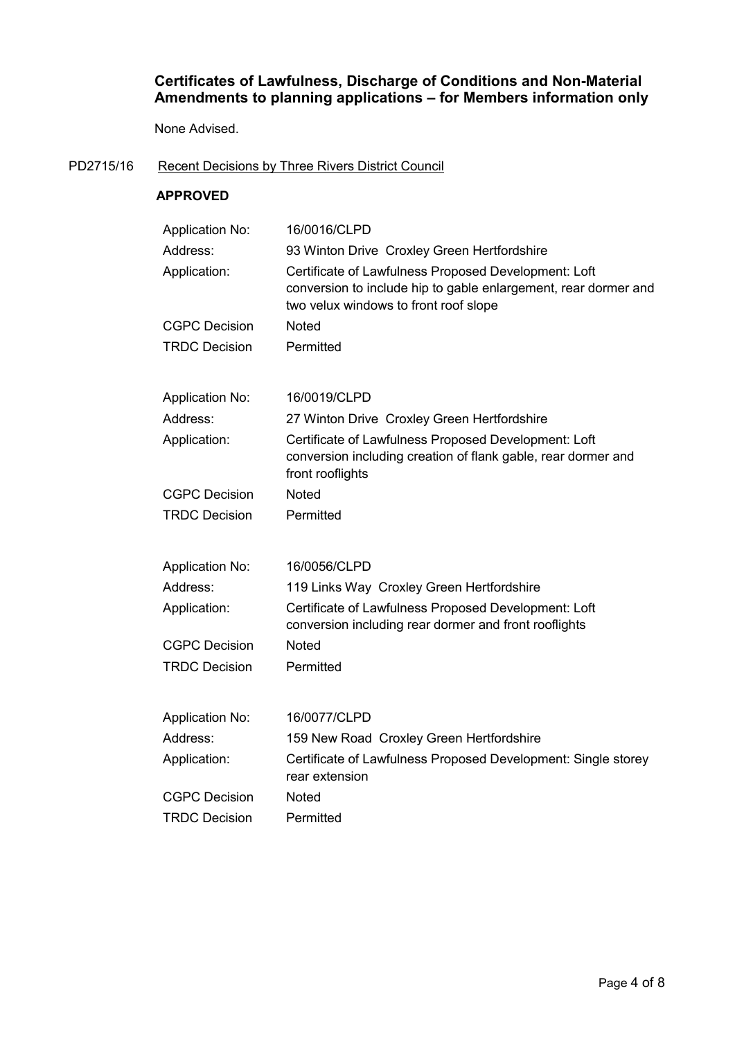# **Certificates of Lawfulness, Discharge of Conditions and Non-Material Amendments to planning applications – for Members information only**

None Advised.

### PD2715/16 Recent Decisions by Three Rivers District Council

### **APPROVED**

| <b>Application No:</b> | 16/0016/CLPD                                                                                                                                                     |
|------------------------|------------------------------------------------------------------------------------------------------------------------------------------------------------------|
| Address:               | 93 Winton Drive Croxley Green Hertfordshire                                                                                                                      |
| Application:           | Certificate of Lawfulness Proposed Development: Loft<br>conversion to include hip to gable enlargement, rear dormer and<br>two velux windows to front roof slope |
| <b>CGPC Decision</b>   | <b>Noted</b>                                                                                                                                                     |
| <b>TRDC Decision</b>   | Permitted                                                                                                                                                        |
| <b>Application No:</b> | 16/0019/CLPD                                                                                                                                                     |
| Address:               | 27 Winton Drive Croxley Green Hertfordshire                                                                                                                      |
| Application:           | Certificate of Lawfulness Proposed Development: Loft<br>conversion including creation of flank gable, rear dormer and<br>front rooflights                        |
| <b>CGPC Decision</b>   | <b>Noted</b>                                                                                                                                                     |
| <b>TRDC Decision</b>   | Permitted                                                                                                                                                        |
| <b>Application No:</b> | 16/0056/CLPD                                                                                                                                                     |
| Address:               | 119 Links Way Croxley Green Hertfordshire                                                                                                                        |
| Application:           | Certificate of Lawfulness Proposed Development: Loft<br>conversion including rear dormer and front rooflights                                                    |
| <b>CGPC Decision</b>   | <b>Noted</b>                                                                                                                                                     |
| <b>TRDC Decision</b>   | Permitted                                                                                                                                                        |
| <b>Application No:</b> | 16/0077/CLPD                                                                                                                                                     |
| Address:               | 159 New Road Croxley Green Hertfordshire                                                                                                                         |
| Application:           | Certificate of Lawfulness Proposed Development: Single storey<br>rear extension                                                                                  |
| <b>CGPC Decision</b>   | <b>Noted</b>                                                                                                                                                     |
| <b>TRDC Decision</b>   | Permitted                                                                                                                                                        |
|                        |                                                                                                                                                                  |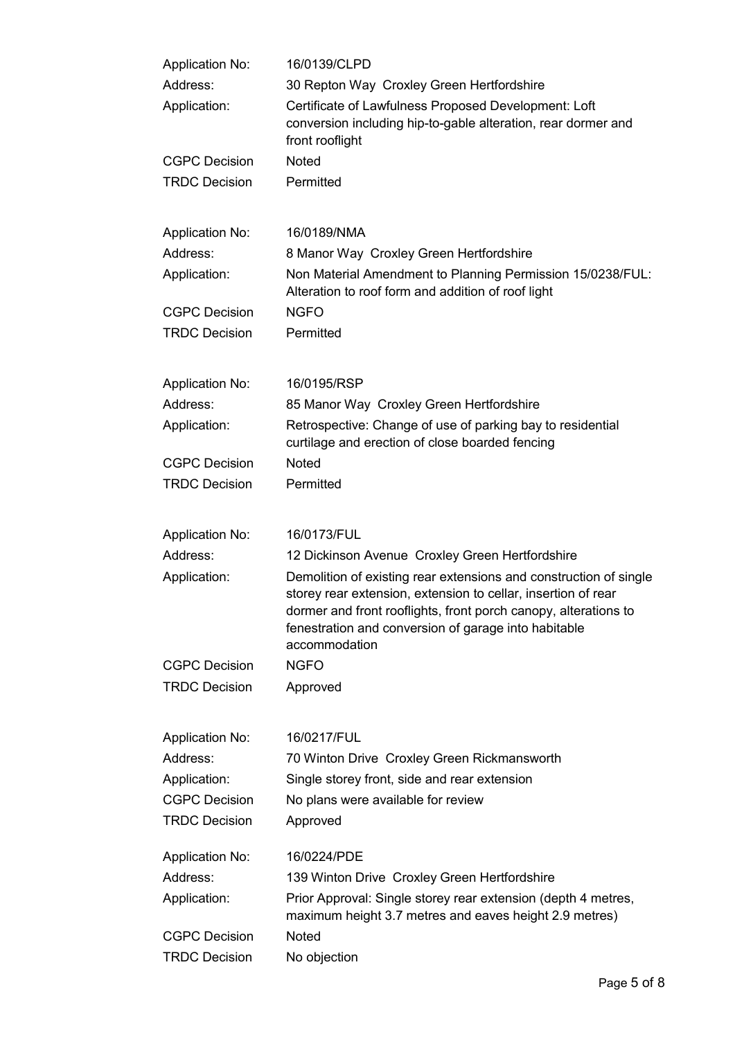| <b>Application No:</b> | 16/0139/CLPD                                                                                                                                                                                                                                                                   |
|------------------------|--------------------------------------------------------------------------------------------------------------------------------------------------------------------------------------------------------------------------------------------------------------------------------|
| Address:               | 30 Repton Way Croxley Green Hertfordshire                                                                                                                                                                                                                                      |
| Application:           | Certificate of Lawfulness Proposed Development: Loft<br>conversion including hip-to-gable alteration, rear dormer and<br>front rooflight                                                                                                                                       |
| <b>CGPC Decision</b>   | <b>Noted</b>                                                                                                                                                                                                                                                                   |
| <b>TRDC Decision</b>   | Permitted                                                                                                                                                                                                                                                                      |
| <b>Application No:</b> | 16/0189/NMA                                                                                                                                                                                                                                                                    |
| Address:               | 8 Manor Way Croxley Green Hertfordshire                                                                                                                                                                                                                                        |
| Application:           | Non Material Amendment to Planning Permission 15/0238/FUL:<br>Alteration to roof form and addition of roof light                                                                                                                                                               |
| <b>CGPC Decision</b>   | <b>NGFO</b>                                                                                                                                                                                                                                                                    |
| <b>TRDC Decision</b>   | Permitted                                                                                                                                                                                                                                                                      |
| <b>Application No:</b> | 16/0195/RSP                                                                                                                                                                                                                                                                    |
| Address:               | 85 Manor Way Croxley Green Hertfordshire                                                                                                                                                                                                                                       |
| Application:           | Retrospective: Change of use of parking bay to residential<br>curtilage and erection of close boarded fencing                                                                                                                                                                  |
| <b>CGPC Decision</b>   | <b>Noted</b>                                                                                                                                                                                                                                                                   |
| <b>TRDC Decision</b>   | Permitted                                                                                                                                                                                                                                                                      |
| <b>Application No:</b> | 16/0173/FUL                                                                                                                                                                                                                                                                    |
| Address:               | 12 Dickinson Avenue Croxley Green Hertfordshire                                                                                                                                                                                                                                |
| Application:           | Demolition of existing rear extensions and construction of single<br>storey rear extension, extension to cellar, insertion of rear<br>dormer and front rooflights, front porch canopy, alterations to<br>fenestration and conversion of garage into habitable<br>accommodation |
| <b>CGPC Decision</b>   | <b>NGFO</b>                                                                                                                                                                                                                                                                    |
| <b>TRDC Decision</b>   | Approved                                                                                                                                                                                                                                                                       |
| <b>Application No:</b> | 16/0217/FUL                                                                                                                                                                                                                                                                    |
| Address:               | 70 Winton Drive Croxley Green Rickmansworth                                                                                                                                                                                                                                    |
| Application:           | Single storey front, side and rear extension                                                                                                                                                                                                                                   |
| <b>CGPC Decision</b>   | No plans were available for review                                                                                                                                                                                                                                             |
| <b>TRDC Decision</b>   | Approved                                                                                                                                                                                                                                                                       |
| <b>Application No:</b> | 16/0224/PDE                                                                                                                                                                                                                                                                    |
| Address:               | 139 Winton Drive Croxley Green Hertfordshire                                                                                                                                                                                                                                   |
| Application:           | Prior Approval: Single storey rear extension (depth 4 metres,<br>maximum height 3.7 metres and eaves height 2.9 metres)                                                                                                                                                        |
| <b>CGPC Decision</b>   | Noted                                                                                                                                                                                                                                                                          |
| <b>TRDC Decision</b>   | No objection                                                                                                                                                                                                                                                                   |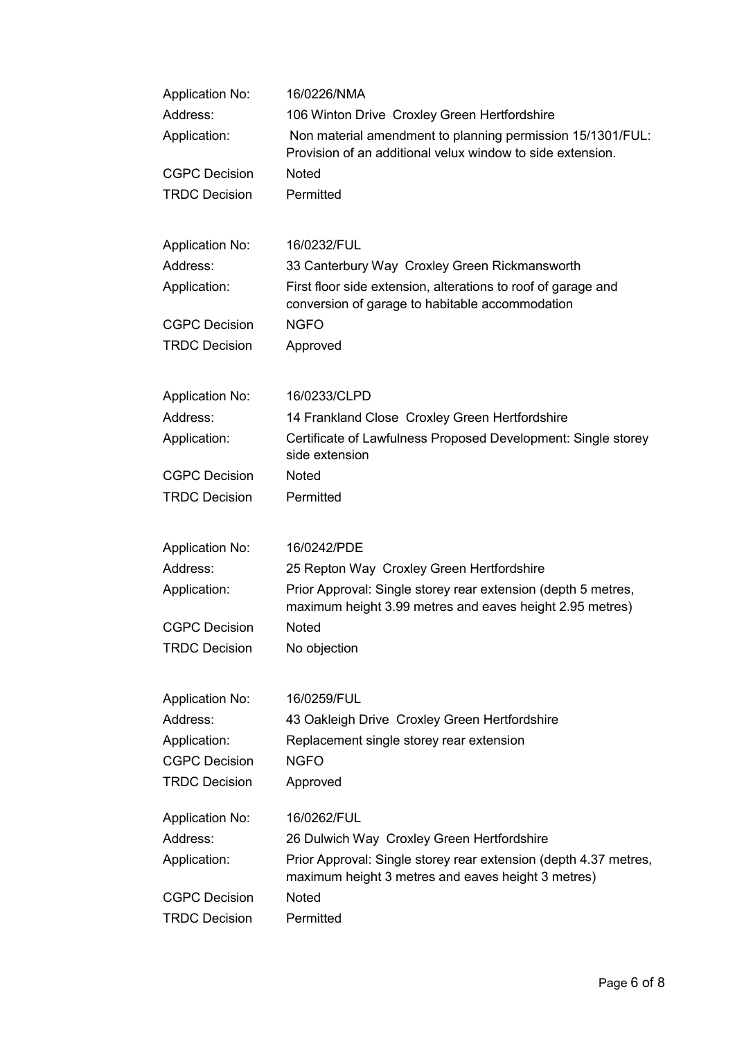| <b>Application No:</b> | 16/0226/NMA                                                                                                               |  |
|------------------------|---------------------------------------------------------------------------------------------------------------------------|--|
| Address:               | 106 Winton Drive Croxley Green Hertfordshire                                                                              |  |
| Application:           | Non material amendment to planning permission 15/1301/FUL:<br>Provision of an additional velux window to side extension.  |  |
| <b>CGPC Decision</b>   | <b>Noted</b>                                                                                                              |  |
| <b>TRDC Decision</b>   | Permitted                                                                                                                 |  |
| <b>Application No:</b> | 16/0232/FUL                                                                                                               |  |
| Address:               | 33 Canterbury Way Croxley Green Rickmansworth                                                                             |  |
| Application:           | First floor side extension, alterations to roof of garage and<br>conversion of garage to habitable accommodation          |  |
| <b>CGPC Decision</b>   | <b>NGFO</b>                                                                                                               |  |
| <b>TRDC Decision</b>   | Approved                                                                                                                  |  |
| <b>Application No:</b> | 16/0233/CLPD                                                                                                              |  |
| Address:               | 14 Frankland Close Croxley Green Hertfordshire                                                                            |  |
| Application:           | Certificate of Lawfulness Proposed Development: Single storey<br>side extension                                           |  |
| <b>CGPC Decision</b>   | <b>Noted</b>                                                                                                              |  |
| <b>TRDC Decision</b>   | Permitted                                                                                                                 |  |
| <b>Application No:</b> | 16/0242/PDE                                                                                                               |  |
| Address:               | 25 Repton Way Croxley Green Hertfordshire                                                                                 |  |
| Application:           | Prior Approval: Single storey rear extension (depth 5 metres,<br>maximum height 3.99 metres and eaves height 2.95 metres) |  |
| <b>CGPC Decision</b>   | Noted                                                                                                                     |  |
| <b>TRDC Decision</b>   | No objection                                                                                                              |  |
| <b>Application No:</b> | 16/0259/FUL                                                                                                               |  |
| Address:               | 43 Oakleigh Drive Croxley Green Hertfordshire                                                                             |  |
| Application:           | Replacement single storey rear extension                                                                                  |  |
| <b>CGPC Decision</b>   | <b>NGFO</b>                                                                                                               |  |
| <b>TRDC Decision</b>   | Approved                                                                                                                  |  |
| <b>Application No:</b> | 16/0262/FUL                                                                                                               |  |
| Address:               | 26 Dulwich Way Croxley Green Hertfordshire                                                                                |  |
| Application:           | Prior Approval: Single storey rear extension (depth 4.37 metres,<br>maximum height 3 metres and eaves height 3 metres)    |  |
| <b>CGPC Decision</b>   | <b>Noted</b>                                                                                                              |  |
| <b>TRDC Decision</b>   | Permitted                                                                                                                 |  |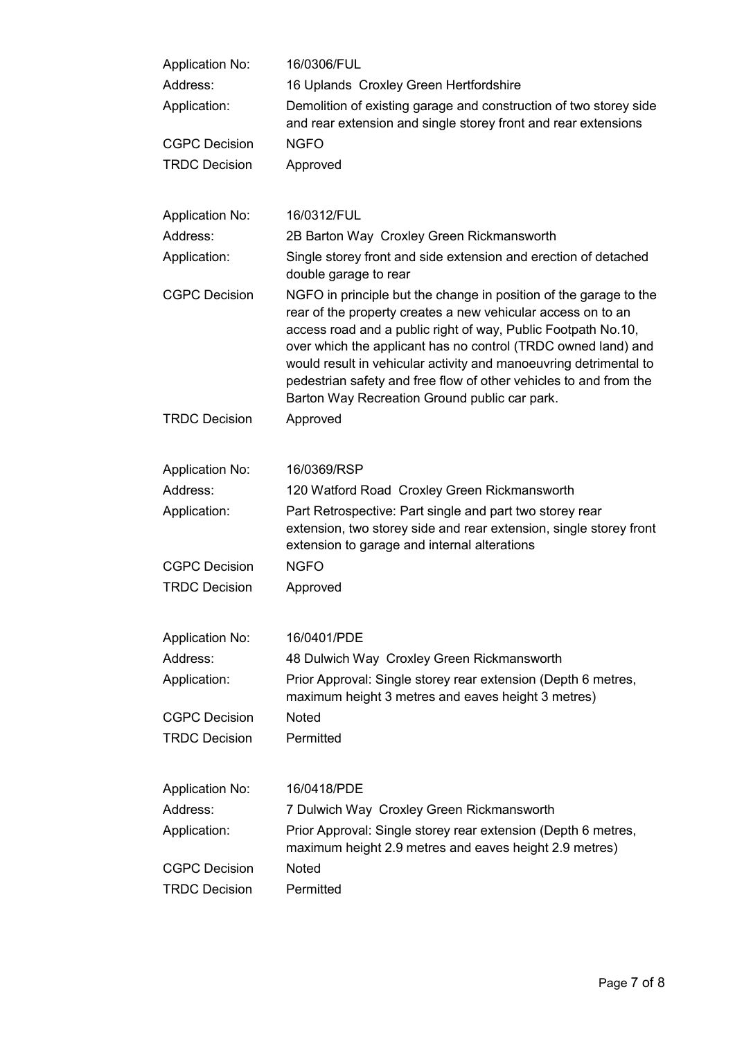| <b>Application No:</b> | 16/0306/FUL                                                                                                                                                                                                                                                                                                                                                                                                                                                    |
|------------------------|----------------------------------------------------------------------------------------------------------------------------------------------------------------------------------------------------------------------------------------------------------------------------------------------------------------------------------------------------------------------------------------------------------------------------------------------------------------|
| Address:               | 16 Uplands Croxley Green Hertfordshire                                                                                                                                                                                                                                                                                                                                                                                                                         |
| Application:           | Demolition of existing garage and construction of two storey side<br>and rear extension and single storey front and rear extensions                                                                                                                                                                                                                                                                                                                            |
| <b>CGPC Decision</b>   | <b>NGFO</b>                                                                                                                                                                                                                                                                                                                                                                                                                                                    |
| <b>TRDC Decision</b>   | Approved                                                                                                                                                                                                                                                                                                                                                                                                                                                       |
| <b>Application No:</b> | 16/0312/FUL                                                                                                                                                                                                                                                                                                                                                                                                                                                    |
| Address:               | 2B Barton Way Croxley Green Rickmansworth                                                                                                                                                                                                                                                                                                                                                                                                                      |
| Application:           | Single storey front and side extension and erection of detached<br>double garage to rear                                                                                                                                                                                                                                                                                                                                                                       |
| <b>CGPC Decision</b>   | NGFO in principle but the change in position of the garage to the<br>rear of the property creates a new vehicular access on to an<br>access road and a public right of way, Public Footpath No.10,<br>over which the applicant has no control (TRDC owned land) and<br>would result in vehicular activity and manoeuvring detrimental to<br>pedestrian safety and free flow of other vehicles to and from the<br>Barton Way Recreation Ground public car park. |
| <b>TRDC Decision</b>   | Approved                                                                                                                                                                                                                                                                                                                                                                                                                                                       |
| <b>Application No:</b> | 16/0369/RSP                                                                                                                                                                                                                                                                                                                                                                                                                                                    |
| Address:               | 120 Watford Road Croxley Green Rickmansworth                                                                                                                                                                                                                                                                                                                                                                                                                   |
| Application:           | Part Retrospective: Part single and part two storey rear<br>extension, two storey side and rear extension, single storey front<br>extension to garage and internal alterations                                                                                                                                                                                                                                                                                 |
| <b>CGPC Decision</b>   | <b>NGFO</b>                                                                                                                                                                                                                                                                                                                                                                                                                                                    |
| <b>TRDC Decision</b>   | Approved                                                                                                                                                                                                                                                                                                                                                                                                                                                       |
| <b>Application No:</b> | 16/0401/PDE                                                                                                                                                                                                                                                                                                                                                                                                                                                    |
| Address:               | 48 Dulwich Way Croxley Green Rickmansworth                                                                                                                                                                                                                                                                                                                                                                                                                     |
| Application:           | Prior Approval: Single storey rear extension (Depth 6 metres,<br>maximum height 3 metres and eaves height 3 metres)                                                                                                                                                                                                                                                                                                                                            |
| <b>CGPC Decision</b>   | <b>Noted</b>                                                                                                                                                                                                                                                                                                                                                                                                                                                   |
| <b>TRDC Decision</b>   | Permitted                                                                                                                                                                                                                                                                                                                                                                                                                                                      |
| <b>Application No:</b> | 16/0418/PDE                                                                                                                                                                                                                                                                                                                                                                                                                                                    |
| Address:               | 7 Dulwich Way Croxley Green Rickmansworth                                                                                                                                                                                                                                                                                                                                                                                                                      |
| Application:           | Prior Approval: Single storey rear extension (Depth 6 metres,<br>maximum height 2.9 metres and eaves height 2.9 metres)                                                                                                                                                                                                                                                                                                                                        |
| <b>CGPC Decision</b>   | <b>Noted</b>                                                                                                                                                                                                                                                                                                                                                                                                                                                   |
| <b>TRDC Decision</b>   | Permitted                                                                                                                                                                                                                                                                                                                                                                                                                                                      |